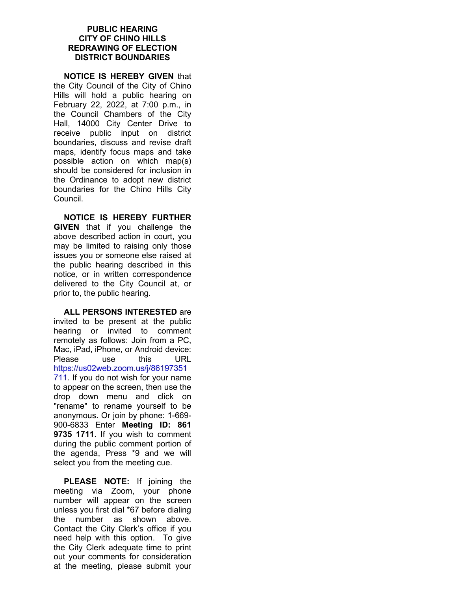## **PUBLIC HEARING CITY OF CHINO HILLS REDRAWING OF ELECTION DISTRICT BOUNDARIES**

**NOTICE IS HEREBY GIVEN** that the City Council of the City of Chino Hills will hold a public hearing on February 22, 2022, at 7:00 p.m., in the Council Chambers of the City Hall, 14000 City Center Drive to receive public input on district boundaries, discuss and revise draft maps, identify focus maps and take possible action on which map(s) should be considered for inclusion in the Ordinance to adopt new district boundaries for the Chino Hills City Council.

**NOTICE IS HEREBY FURTHER GIVEN** that if you challenge the above described action in court, you may be limited to raising only those issues you or someone else raised at the public hearing described in this notice, or in written correspondence delivered to the City Council at, or prior to, the public hearing.

**ALL PERSONS INTERESTED** are invited to be present at the public hearing or invited to comment remotely as follows: Join from a PC, Mac, iPad, iPhone, or Android device: Please use this URL https://us02web.zoom.us/j/86197351 711. If you do not wish for your name to appear on the screen, then use the drop down menu and click on "rename" to rename yourself to be anonymous. Or join by phone: 1-669- 900-6833 Enter **Meeting ID: 861 9735 1711**. If you wish to comment during the public comment portion of the agenda, Press \*9 and we will select you from the meeting cue.

**PLEASE NOTE:** If joining the meeting via Zoom, your phone number will appear on the screen unless you first dial \*67 before dialing the number as shown above. Contact the City Clerk's office if you need help with this option. To give the City Clerk adequate time to print out your comments for consideration at the meeting, please submit your